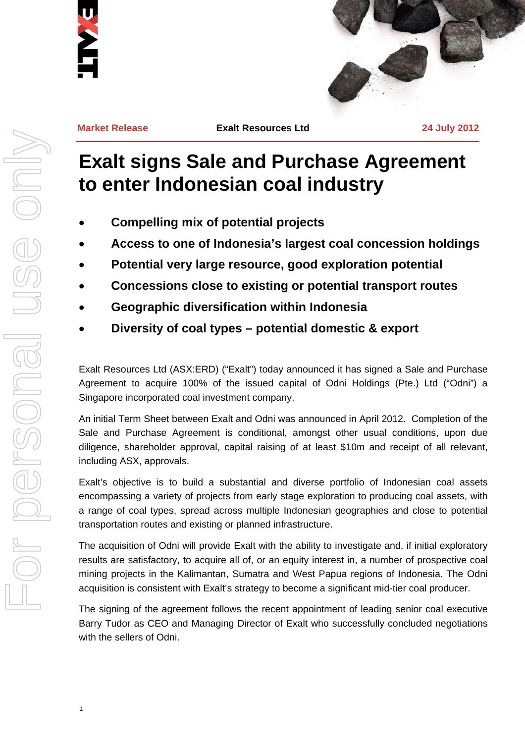



**Market Release Exalt Resources Ltd 24 July 2012**

# **Exalt signs Sale and Purchase Agreement to enter Indonesian coal industry**

- **Compelling mix of potential projects**
- **Access to one of Indonesia's largest coal concession holdings**
- **Potential very large resource, good exploration potential**
- **Concessions close to existing or potential transport routes**
- **Geographic diversification within Indonesia**
- **Diversity of coal types potential domestic & export**

Exalt Resources Ltd (ASX:ERD) ("Exalt") today announced it has signed a Sale and Purchase Agreement to acquire 100% of the issued capital of Odni Holdings (Pte.) Ltd ("Odni") a Singapore incorporated coal investment company.

An initial Term Sheet between Exalt and Odni was announced in April 2012. Completion of the Sale and Purchase Agreement is conditional, amongst other usual conditions, upon due diligence, shareholder approval, capital raising of at least \$10m and receipt of all relevant, including ASX, approvals.

Exalt's objective is to build a substantial and diverse portfolio of Indonesian coal assets encompassing a variety of projects from early stage exploration to producing coal assets, with a range of coal types, spread across multiple Indonesian geographies and close to potential transportation routes and existing or planned infrastructure.

The acquisition of Odni will provide Exalt with the ability to investigate and, if initial exploratory results are satisfactory, to acquire all of, or an equity interest in, a number of prospective coal mining projects in the Kalimantan, Sumatra and West Papua regions of Indonesia. The Odni acquisition is consistent with Exalt's strategy to become a significant mid-tier coal producer.

The signing of the agreement follows the recent appointment of leading senior coal executive Barry Tudor as CEO and Managing Director of Exalt who successfully concluded negotiations with the sellers of Odni.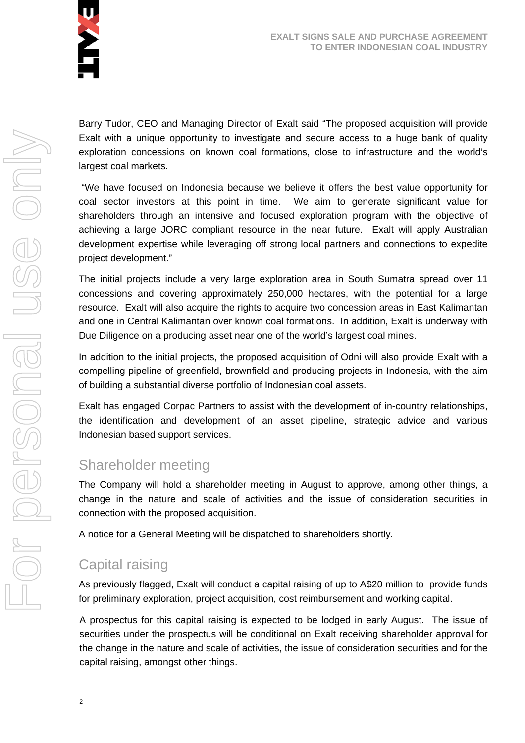

Barry Tudor, CEO and Managing Director of Exalt said "The proposed acquisition will provide Exalt with a unique opportunity to investigate and secure access to a huge bank of quality exploration concessions on known coal formations, close to infrastructure and the world's largest coal markets.

 "We have focused on Indonesia because we believe it offers the best value opportunity for coal sector investors at this point in time. We aim to generate significant value for shareholders through an intensive and focused exploration program with the objective of achieving a large JORC compliant resource in the near future. Exalt will apply Australian development expertise while leveraging off strong local partners and connections to expedite project development."

The initial projects include a very large exploration area in South Sumatra spread over 11 concessions and covering approximately 250,000 hectares, with the potential for a large resource. Exalt will also acquire the rights to acquire two concession areas in East Kalimantan and one in Central Kalimantan over known coal formations. In addition, Exalt is underway with Due Diligence on a producing asset near one of the world's largest coal mines.

In addition to the initial projects, the proposed acquisition of Odni will also provide Exalt with a compelling pipeline of greenfield, brownfield and producing projects in Indonesia, with the aim of building a substantial diverse portfolio of Indonesian coal assets.

Exalt has engaged Corpac Partners to assist with the development of in-country relationships, the identification and development of an asset pipeline, strategic advice and various Indonesian based support services.

# Shareholder meeting

The Company will hold a shareholder meeting in August to approve, among other things, a change in the nature and scale of activities and the issue of consideration securities in connection with the proposed acquisition.

A notice for a General Meeting will be dispatched to shareholders shortly.

# Capital raising

As previously flagged, Exalt will conduct a capital raising of up to A\$20 million to provide funds for preliminary exploration, project acquisition, cost reimbursement and working capital.

A prospectus for this capital raising is expected to be lodged in early August. The issue of securities under the prospectus will be conditional on Exalt receiving shareholder approval for the change in the nature and scale of activities, the issue of consideration securities and for the capital raising, amongst other things.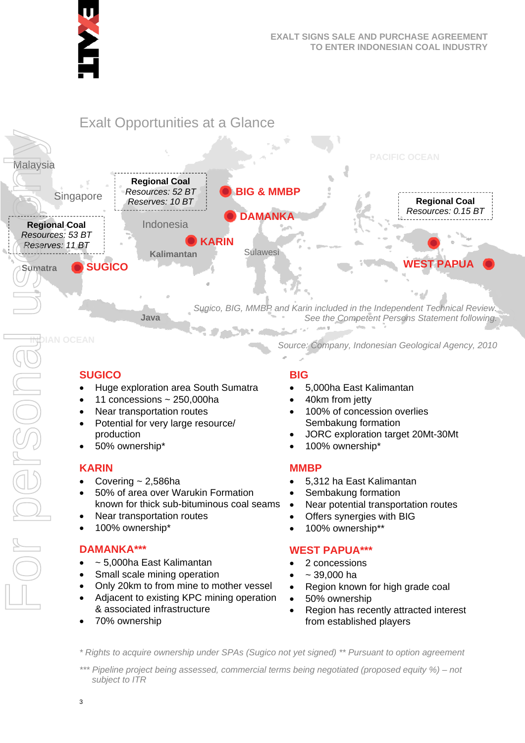



# **SUGICO**

- Huge exploration area South Sumatra
- 11 concessions ~ 250,000ha
- Near transportation routes
- Potential for very large resource/ production
- 50% ownership\*

## **KARIN**

- Covering  $\sim$  2,586ha
- 50% of area over Warukin Formation known for thick sub-bituminous coal seams
- Near transportation routes
- 100% ownership\*

## **DAMANKA\*\*\***

- ~ 5,000ha East Kalimantan
- Small scale mining operation
- Only 20km to from mine to mother vessel
- Adjacent to existing KPC mining operation & associated infrastructure
- 70% ownership

## **BIG**

- 5,000ha East Kalimantan
- 40km from jetty
- 100% of concession overlies Sembakung formation
- JORC exploration target 20Mt-30Mt

*Source: Company, Indonesian Geological Agency, 2010* 

100% ownership\*

## **MMBP**

- 5,312 ha East Kalimantan
- Sembakung formation
- Near potential transportation routes
- Offers synergies with BIG
- 100% ownership\*\*

## **WEST PAPUA\*\*\***

- 2 concessions
- ~ 39,000 ha
- Region known for high grade coal
- 50% ownership
- Region has recently attracted interest from established players

*\* Rights to acquire ownership under SPAs (Sugico not yet signed) \*\* Pursuant to option agreement* 

*\*\*\* Pipeline project being assessed, commercial terms being negotiated (proposed equity %) – not subject to ITR*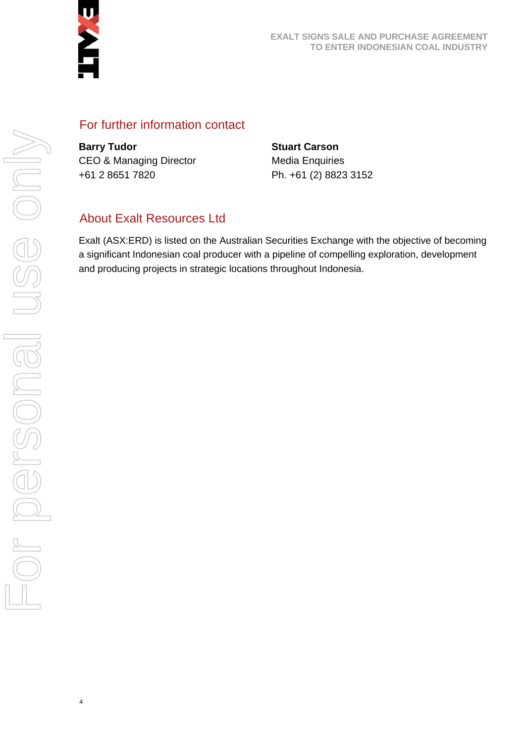

## For further information contact

**Barry Tudor**  CEO & Managing Director +61 2 8651 7820

**Stuart Carson**  Media Enquiries Ph. +61 (2) 8823 3152

## About Exalt Resources Ltd

Exalt (ASX:ERD) is listed on the Australian Securities Exchange with the objective of becoming a significant Indonesian coal producer with a pipeline of compelling exploration, development and producing projects in strategic locations throughout Indonesia.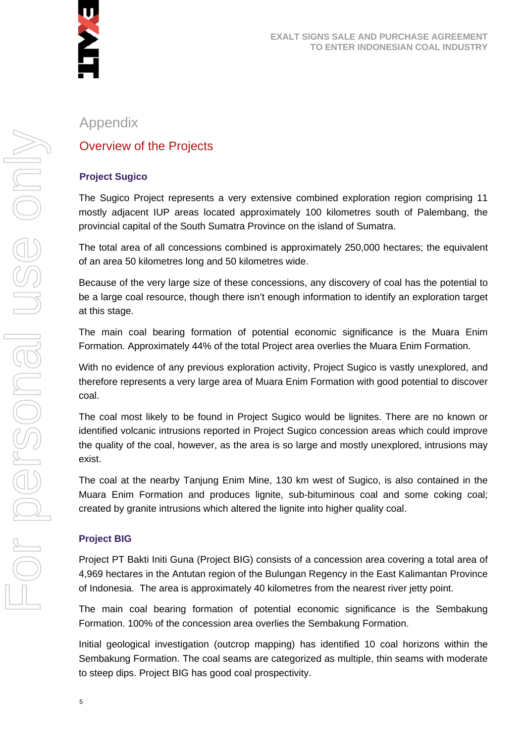

## Appendix

## Overview of the Projects

#### **Project Sugico**

The Sugico Project represents a very extensive combined exploration region comprising 11 mostly adjacent IUP areas located approximately 100 kilometres south of Palembang, the provincial capital of the South Sumatra Province on the island of Sumatra.

The total area of all concessions combined is approximately 250,000 hectares; the equivalent of an area 50 kilometres long and 50 kilometres wide.

Because of the very large size of these concessions, any discovery of coal has the potential to be a large coal resource, though there isn't enough information to identify an exploration target at this stage.

The main coal bearing formation of potential economic significance is the Muara Enim Formation. Approximately 44% of the total Project area overlies the Muara Enim Formation.

With no evidence of any previous exploration activity, Project Sugico is vastly unexplored, and therefore represents a very large area of Muara Enim Formation with good potential to discover coal.

The coal most likely to be found in Project Sugico would be lignites. There are no known or identified volcanic intrusions reported in Project Sugico concession areas which could improve the quality of the coal, however, as the area is so large and mostly unexplored, intrusions may exist.

The coal at the nearby Tanjung Enim Mine, 130 km west of Sugico, is also contained in the Muara Enim Formation and produces lignite, sub-bituminous coal and some coking coal; created by granite intrusions which altered the lignite into higher quality coal.

#### **Project BIG**

Project PT Bakti Initi Guna (Project BIG) consists of a concession area covering a total area of 4,969 hectares in the Antutan region of the Bulungan Regency in the East Kalimantan Province of Indonesia. The area is approximately 40 kilometres from the nearest river jetty point.

The main coal bearing formation of potential economic significance is the Sembakung Formation. 100% of the concession area overlies the Sembakung Formation.

Initial geological investigation (outcrop mapping) has identified 10 coal horizons within the Sembakung Formation. The coal seams are categorized as multiple, thin seams with moderate to steep dips. Project BIG has good coal prospectivity.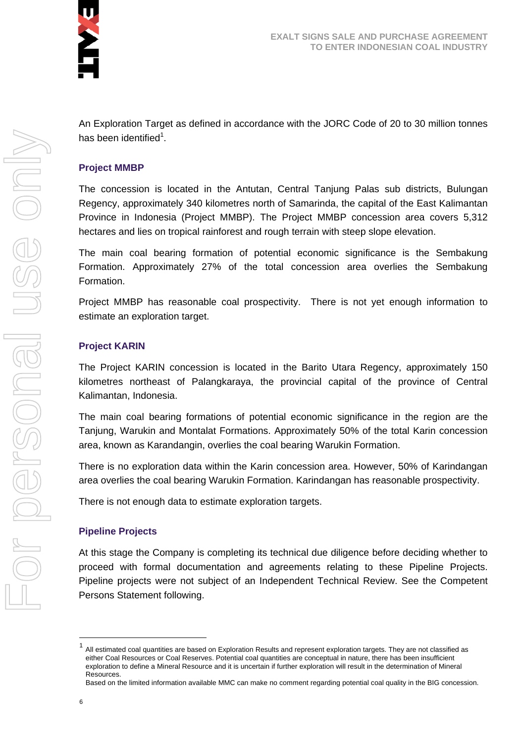

An Exploration Target as defined in accordance with the JORC Code of 20 to 30 million tonnes has been identified<sup>1</sup>.

#### **Project MMBP**

The concession is located in the Antutan, Central Tanjung Palas sub districts, Bulungan Regency, approximately 340 kilometres north of Samarinda, the capital of the East Kalimantan Province in Indonesia (Project MMBP). The Project MMBP concession area covers 5,312 hectares and lies on tropical rainforest and rough terrain with steep slope elevation.

The main coal bearing formation of potential economic significance is the Sembakung Formation. Approximately 27% of the total concession area overlies the Sembakung Formation.

Project MMBP has reasonable coal prospectivity. There is not yet enough information to estimate an exploration target.

#### **Project KARIN**

The Project KARIN concession is located in the Barito Utara Regency, approximately 150 kilometres northeast of Palangkaraya, the provincial capital of the province of Central Kalimantan, Indonesia.

The main coal bearing formations of potential economic significance in the region are the Tanjung, Warukin and Montalat Formations. Approximately 50% of the total Karin concession area, known as Karandangin, overlies the coal bearing Warukin Formation.

There is no exploration data within the Karin concession area. However, 50% of Karindangan area overlies the coal bearing Warukin Formation. Karindangan has reasonable prospectivity.

There is not enough data to estimate exploration targets.

#### **Pipeline Projects**

At this stage the Company is completing its technical due diligence before deciding whether to proceed with formal documentation and agreements relating to these Pipeline Projects. Pipeline projects were not subject of an Independent Technical Review. See the Competent Persons Statement following.

<sup>1</sup> All estimated coal quantities are based on Exploration Results and represent exploration targets. They are not classified as either Coal Resources or Coal Reserves. Potential coal quantities are conceptual in nature, there has been insufficient exploration to define a Mineral Resource and it is uncertain if further exploration will result in the determination of Mineral Resources.

Based on the limited information available MMC can make no comment regarding potential coal quality in the BIG concession.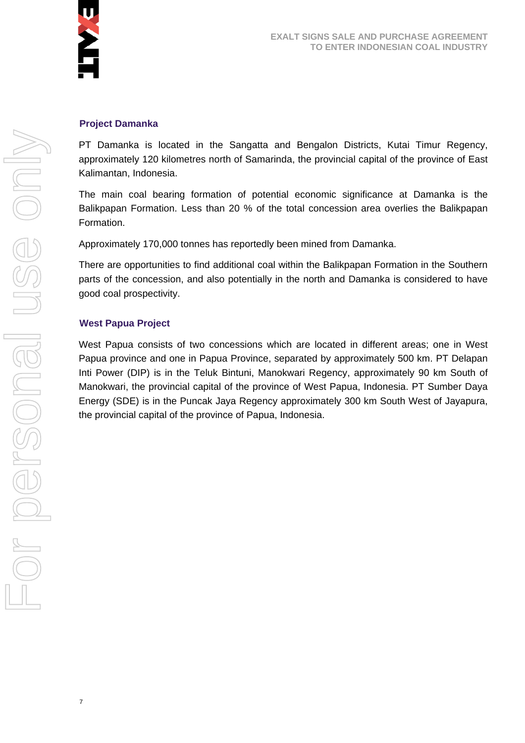

#### **Project Damanka**

PT Damanka is located in the Sangatta and Bengalon Districts, Kutai Timur Regency, approximately 120 kilometres north of Samarinda, the provincial capital of the province of East Kalimantan, Indonesia.

The main coal bearing formation of potential economic significance at Damanka is the Balikpapan Formation. Less than 20 % of the total concession area overlies the Balikpapan Formation.

Approximately 170,000 tonnes has reportedly been mined from Damanka.

There are opportunities to find additional coal within the Balikpapan Formation in the Southern parts of the concession, and also potentially in the north and Damanka is considered to have good coal prospectivity.

#### **West Papua Project**

7

West Papua consists of two concessions which are located in different areas; one in West Papua province and one in Papua Province, separated by approximately 500 km. PT Delapan Inti Power (DIP) is in the Teluk Bintuni, Manokwari Regency, approximately 90 km South of Manokwari, the provincial capital of the province of West Papua, Indonesia. PT Sumber Daya Energy (SDE) is in the Puncak Jaya Regency approximately 300 km South West of Jayapura, the provincial capital of the province of Papua, Indonesia.